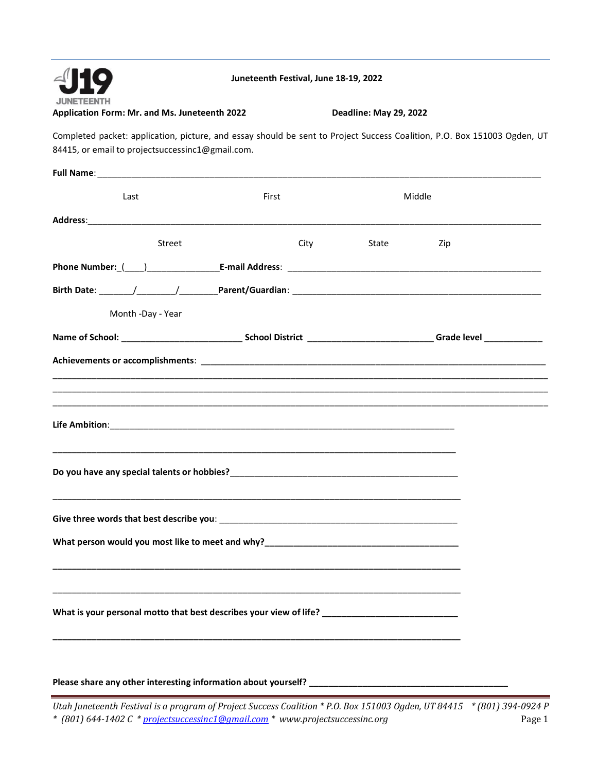

**Juneteenth Festival, June 18-19, 2022**

**Application Form: Mr. and Ms. Juneteenth 2022 Deadline: May 29, 2022** 

Completed packet: application, picture, and essay should be sent to Project Success Coalition, P.O. Box 151003 Ogden, UT 84415, or email to projectsuccessinc1@gmail.com.

| Last                                                                                                                                                                                                                           | First |       | Middle |
|--------------------------------------------------------------------------------------------------------------------------------------------------------------------------------------------------------------------------------|-------|-------|--------|
|                                                                                                                                                                                                                                |       |       |        |
| Street                                                                                                                                                                                                                         | City  | State | Zip    |
| Phone Number: (1, 2014) [2014] [2015] [2016] [2016] [2016] [2016] [2016] [2016] [2016] [2016] [2016] [2016] [2016] [2016] [2016] [2016] [2016] [2016] [2016] [2016] [2016] [2016] [2016] [2016] [2016] [2016] [2016] [2016] [2 |       |       |        |
|                                                                                                                                                                                                                                |       |       |        |
| Month -Day - Year                                                                                                                                                                                                              |       |       |        |
|                                                                                                                                                                                                                                |       |       |        |
| Achievements or accomplishments: National Section of the Section of the Section of the Section of the Section of the Section of the Section of the Section of the Section of the Section of the Section of the Section of the  |       |       |        |
|                                                                                                                                                                                                                                |       |       |        |
|                                                                                                                                                                                                                                |       |       |        |
|                                                                                                                                                                                                                                |       |       |        |
|                                                                                                                                                                                                                                |       |       |        |
|                                                                                                                                                                                                                                |       |       |        |
|                                                                                                                                                                                                                                |       |       |        |
|                                                                                                                                                                                                                                |       |       |        |
|                                                                                                                                                                                                                                |       |       |        |
|                                                                                                                                                                                                                                |       |       |        |
|                                                                                                                                                                                                                                |       |       |        |
| What is your personal motto that best describes your view of life? ________________________________                                                                                                                            |       |       |        |
|                                                                                                                                                                                                                                |       |       |        |
|                                                                                                                                                                                                                                |       |       |        |
|                                                                                                                                                                                                                                |       |       |        |

Please share any other interesting information about yourself? \_\_\_\_\_\_\_\_\_\_\_\_\_\_\_\_\_\_